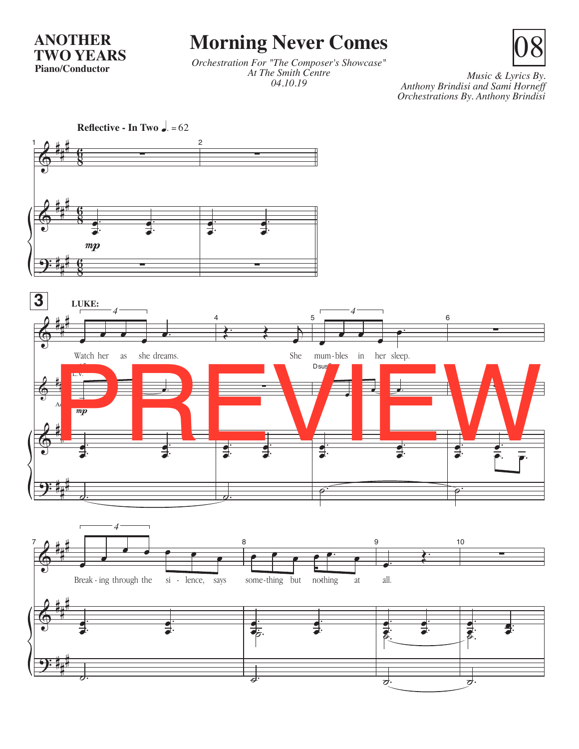**ANOTHER TWO YEARS Piano/Conductor**

## **Morning Never Comes**

*Orchestration For "The Composer's Showcase" At The Smith Centre 04.10.19*

*Music & Lyrics By. Anthony Brindisi and Sami Horneff Orchestrations By. Anthony Brindisi* 

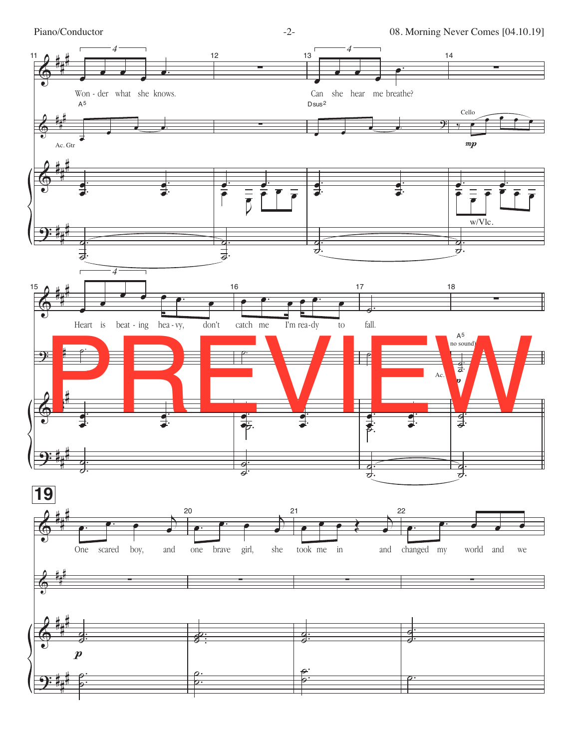